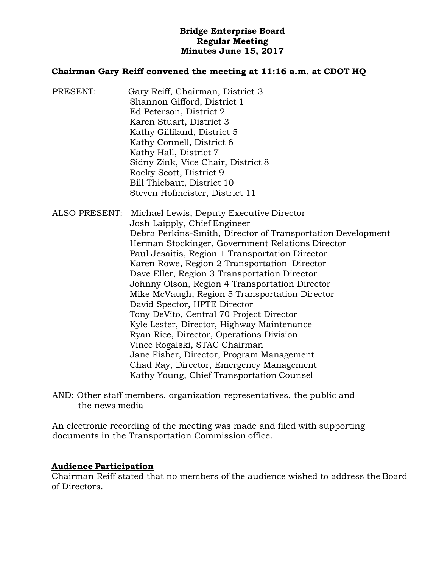# **Bridge Enterprise Board Regular Meeting Minutes June 15, 2017**

# **Chairman Gary Reiff convened the meeting at 11:16 a.m. at CDOT HQ**

PRESENT: Gary Reiff, Chairman, District 3 Shannon Gifford, District 1 Ed Peterson, District 2 Karen Stuart, District 3 Kathy Gilliland, District 5 Kathy Connell, District 6 Kathy Hall, District 7 Sidny Zink, Vice Chair, District 8 Rocky Scott, District 9 Bill Thiebaut, District 10 Steven Hofmeister, District 11

ALSO PRESENT: Michael Lewis, Deputy Executive Director Josh Laipply, Chief Engineer Debra Perkins-Smith, Director of Transportation Development Herman Stockinger, Government Relations Director Paul Jesaitis, Region 1 Transportation Director Karen Rowe, Region 2 Transportation Director Dave Eller, Region 3 Transportation Director Johnny Olson, Region 4 Transportation Director Mike McVaugh, Region 5 Transportation Director David Spector, HPTE Director Tony DeVito, Central 70 Project Director Kyle Lester, Director, Highway Maintenance Ryan Rice, Director, Operations Division Vince Rogalski, STAC Chairman Jane Fisher, Director, Program Management Chad Ray, Director, Emergency Management Kathy Young, Chief Transportation Counsel

AND: Other staff members, organization representatives, the public and the news media

An electronic recording of the meeting was made and filed with supporting documents in the Transportation Commission office.

## **Audience Participation**

Chairman Reiff stated that no members of the audience wished to address the Board of Directors.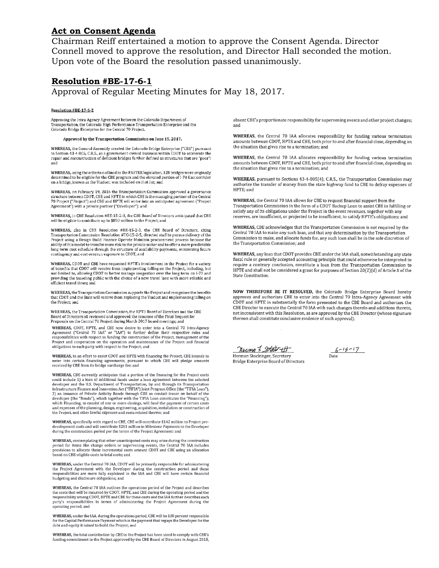### **Act on Consent Agenda**

Chairman Reiff entertained a motion to approve the Consent Agenda. Director Connell moved to approve the resolution, and Director Hall seconded the motion. Upon vote of the Board the resolution passed unanimously.

#### Resolution #BE-17-6-1

Approval of Regular Meeting Minutes for May 18, 2017.

#### Resolution #BE-17-6-2

Approving the Intra-Agency Agreement between the Colorado Department of Transportation, the Colorado High Performance Transportation Enterprise and the<br>Colorado Bridge Enterprise for the Central 70 Project.

Approved by the Transportation Commission on June 15, 2017.

WHEREAS, the General Assembly created the Colorado Bridge Enterprise ("CBE") pursuant to Section 43-4-805, C.R.S., as a government-owned business within CDOT to accelerate the repair and reconstruction of deficient bridges further defined as structures that are "poor";

WHEREAS, using the criteria outlined in the FASTER legislation, 128 bridges were originally determined to be eligible for the CBE program and the elevated portion of I-70 East corridor<br>on a bridge, known as the Viaduct, was included on that list; and

WHEREAS, on February 19, 2016 the Transportation Commission approved a governance structure between CDOT, CBE and HPTE in which CBE is the managing partner of the Central<br>70 Project ("Project") and CBE and HPTE in which CBE is the managing partner of the Central<br>70 Project ("Project") and CBE and HPTE w Agreement") with a private partner ("Developer"); and

WHEREAS, in CBE Resolution #BE-15-2-3, the CBE Board of Directors anticipated that CBE will be eligible to contribute up to \$850 million to the Project; and

WHEREAS, also in CBE Resolution #BE-15-2-3, the CBE Board of Directors, citing Transportation Commission Resolution #TC-15-2-5, directed staff to pursue delivery of the Project using a Design Build Finance Operate Maintain procurement process because the ability of this model to transfer more risk to the private sector and to offer a more predictable long term cost schedule through the structure of availability payments, minimizing future contingency and cost overrun exposure to CDOT; and

WHEREAS, CDOT and CBE have requested HPTE's involvement in the Project for a variety of benefits that CDOT will receive from implementing tolling on the Project, including, but not limited to, allowing CDOT to better manage congestion over the long term on I-70 and providing the traveling public with the choice of a new travel lane with more reliable and efficient travel times: and

WHEREAS, the Transportation Commission supports the Project and recognizes the benefits that CDOT and the State will receive from replacing the Viaduct and implementing tolling on the Project: and

WHEREAS, the Transportation Commission, the HPTE Board of Directors and the CBE Board of Directors all reviewed and approved the issuance of the Final Request for Proposals on the Central 70 Project during March 2017 board meetings; and

**WHEREAS**, CDOT, HPTE, and CBE now desire to enter into a Central 70 Intra-Agency Agreement ("Central 70 IAA" or "IAA") to further define their respective roles and responsibilities with respect to funding the construction Project and cooperation on the operation and maintenance of the Project and financial<br>obligations to each party with respect to the Project; and

WHEREAS, in an effort to assist CDOT and HPTE with financing the Project, CBE intends to enter into certain financing agreements, pursuant to which CBE will pledge amounts received by CBE from its bridge surcharge fee; and

WHEREAS, CBE currently anticipates that a portion of the financing for the Project costs could include 1) a loan of additional funds under a loan agreement between the selected developer and the U.S. Department of Transportation, by and through its Transportation accouple and the O.2 - Deptation Act ("TIFIA") Joint Program Office (the "TIFIA Loan"),<br>Infrastructure Finance and Innovation Act ("TIFIA") Joint Program Office (the "TIFIA Loan"),<br>2) an issuance of Private Activity Bonds the Project, and other lawful expenses and costs related thereto; and

WHEREAS, specifically with regard to CBE, CBE will contribute \$142 million to Project predevelopment costs and will contribute \$261 million in Milestone Payments to the Developer during the construction period per the terms of the Project Agreement; and

 $\textbf{WHEREAS},$  contemplating that other unanticipated costs may arise during the construction period for items like change orders or supervening events, the Central 70 IAA includes rovisions to allocate these incremental costs amount CDOT and CBE using an allocation based on CBE-eligible costs to total costs; and

WHEREAS, under the Central 70 IAA, CDOT will be primarily responsible for administering the Project Agreement with the Developer during the construction period and these responsibilities are more fully explained in the IAA and CBE will have certain financial budgeting and disclosure obligations; and

WHEREAS, the Central 70 IAA outlines the operations period of the Project and describes the costs that will be incurred by CDOT, HPTE, and CBE during the operating period and the responsibility among CDOT, HPTE and CBE for these costs and the IAA further describes each party's responsibilities in terms of administering the Project Agreement during the operating period; and

 $\textbf{WHERAS},$  under the IAA, during the operations period, CBE will be 100 percent responsible for the Capital Performance Payment which is the payment that repays the Developer for the debt and equity it raised to build the Project; and

WHEREAS, the total contribution by CBE to the Project has been sized to comply with CBE's funding commitment to the Project approved by the CBE Board of Directors in August 2015, absent CBE's proportionate responsibility for supervening events and other project changes: and

WHEREAS, the Central 70 IAA allocates responsibility for funding various termination amounts between CDOT, HPTE and CBE, both prior to and after financial close, depending on the situation that gives rise to a termination: and

WHEREAS, the Central 70 IAA allocates responsibility for funding various termination amounts between CDOT, HPTE and CBE, both prior to and after financial close, depending on the situation that gives rise to a termination; and

WHEREAS, pursuant to Sections 43-4-805(4), C.R.S., the Transportation Commission may authorize the transfer of money from the state highway fund to CBE to defray expenses of HPTE: and

WHEREAS, the Central 70 IAA allows for CBE to request financial support from the Transportation Commission in the form of a CDOT Backup Loan to assist CBE in fulfilling or<br>satisfy any of its obligations under the Project in the event revenues, together with any reserves, are insufficient, or projected to be insufficient, to satisfy HPTE's obligations; and

WHEREAS, CBE acknowledges that the Transportation Commission is not required by the Central 70 IAA to make any such loan, and that any determination by the Transportation Commission to make, and allocate funds for, any such loan shall be in the sole discretion of the Transportation Commission: and

WHEREAS, any loan that CDOT provides CBE under the IAA shall, notwithstanding any state fiscal rule or generally accepted accounting principle that could otherwise be interpreted to require a contrary conclusion, constitute a loan from the Transportation Commission to HPTE and shall not be considered a grant for purposes of Section 20(2)(d) of Article X of the State Constitution.

NOW THEREFORE BE IT RESOLVED, the Colorado Bridge Enterprise Board hereby approves and authorizes CBE to enter into the Central 70 Intra-Agency Agreement with CDOT and HPTE in substantially the form presented to the CBE Board and authorizes the CBE Director to execute the Central 70 IAA with such changes therein and additions thereto. not inconsistent with this Resolution, as are approved by the CBE Director (whose signature thereon shall constitute conclusive evidence of such approval).

Necmn 7 Stock tt

Herman Stockinger, Secretary Bridge Enterprise Board of Directors

 $6 - 15 - 17$